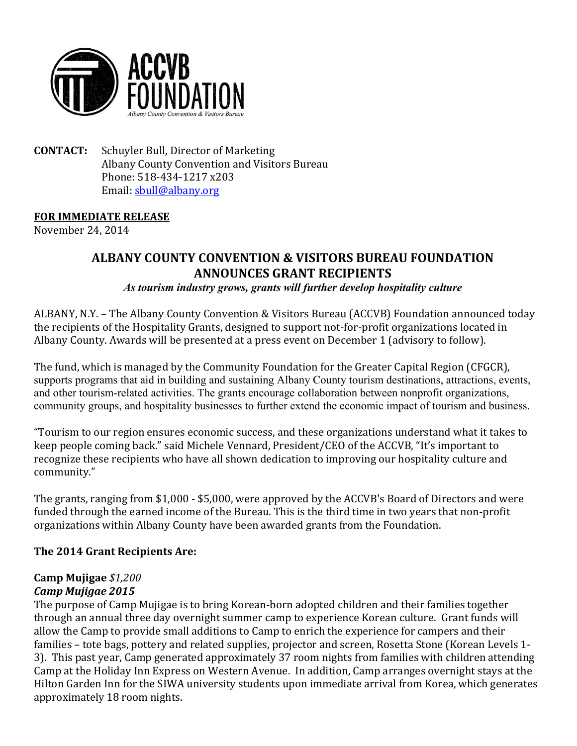

**CONTACT:** Schuyler Bull, Director of Marketing Albany County Convention and Visitors Bureau Phone: 518-434-1217 x203 Email: [sbull@albany.org](mailto:sbull@albany.org)

#### **FOR IMMEDIATE RELEASE**

November 24, 2014

# **ALBANY COUNTY CONVENTION & VISITORS BUREAU FOUNDATION ANNOUNCES GRANT RECIPIENTS**

*As tourism industry grows, grants will further develop hospitality culture*

ALBANY, N.Y. – The Albany County Convention & Visitors Bureau (ACCVB) Foundation announced today the recipients of the Hospitality Grants, designed to support not-for-profit organizations located in Albany County. Awards will be presented at a press event on December 1 (advisory to follow).

The fund, which is managed by the Community Foundation for the Greater Capital Region (CFGCR), supports programs that aid in building and sustaining Albany County tourism destinations, attractions, events, and other tourism-related activities. The grants encourage collaboration between nonprofit organizations, community groups, and hospitality businesses to further extend the economic impact of tourism and business.

"Tourism to our region ensures economic success, and these organizations understand what it takes to keep people coming back." said Michele Vennard, President/CEO of the ACCVB, "It's important to recognize these recipients who have all shown dedication to improving our hospitality culture and community."

The grants, ranging from \$1,000 - \$5,000, were approved by the ACCVB's Board of Directors and were funded through the earned income of the Bureau. This is the third time in two years that non-profit organizations within Albany County have been awarded grants from the Foundation.

#### **The 2014 Grant Recipients Are:**

#### **Camp Mujigae** *\$1,200 Camp Mujigae 2015*

The purpose of Camp Mujigae is to bring Korean-born adopted children and their families together through an annual three day overnight summer camp to experience Korean culture. Grant funds will allow the Camp to provide small additions to Camp to enrich the experience for campers and their families – tote bags, pottery and related supplies, projector and screen, Rosetta Stone (Korean Levels 1- 3). This past year, Camp generated approximately 37 room nights from families with children attending Camp at the Holiday Inn Express on Western Avenue. In addition, Camp arranges overnight stays at the Hilton Garden Inn for the SIWA university students upon immediate arrival from Korea, which generates approximately 18 room nights.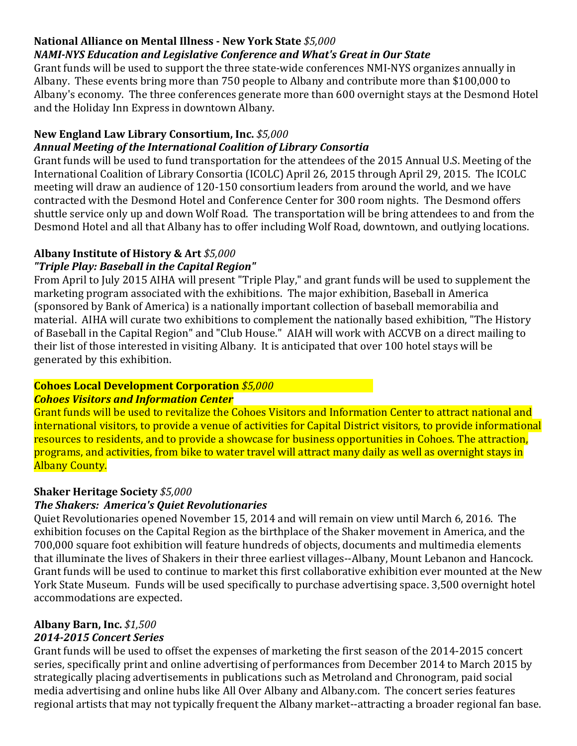# **National Alliance on Mental Illness - New York State** *\$5,000*

## *NAMI-NYS Education and Legislative Conference and What's Great in Our State*

Grant funds will be used to support the three state-wide conferences NMI-NYS organizes annually in Albany. These events bring more than 750 people to Albany and contribute more than \$100,000 to Albany's economy. The three conferences generate more than 600 overnight stays at the Desmond Hotel and the Holiday Inn Express in downtown Albany.

# **New England Law Library Consortium, Inc.** *\$5,000*

## *Annual Meeting of the International Coalition of Library Consortia*

Grant funds will be used to fund transportation for the attendees of the 2015 Annual U.S. Meeting of the International Coalition of Library Consortia (ICOLC) April 26, 2015 through April 29, 2015. The ICOLC meeting will draw an audience of 120-150 consortium leaders from around the world, and we have contracted with the Desmond Hotel and Conference Center for 300 room nights. The Desmond offers shuttle service only up and down Wolf Road. The transportation will be bring attendees to and from the Desmond Hotel and all that Albany has to offer including Wolf Road, downtown, and outlying locations.

# **Albany Institute of History & Art** *\$5,000*

# *"Triple Play: Baseball in the Capital Region"*

From April to July 2015 AIHA will present "Triple Play," and grant funds will be used to supplement the marketing program associated with the exhibitions. The major exhibition, Baseball in America (sponsored by Bank of America) is a nationally important collection of baseball memorabilia and material. AIHA will curate two exhibitions to complement the nationally based exhibition, "The History of Baseball in the Capital Region" and "Club House." AIAH will work with ACCVB on a direct mailing to their list of those interested in visiting Albany. It is anticipated that over 100 hotel stays will be generated by this exhibition.

# **Cohoes Local Development Corporation** *\$5,000*

# *Cohoes Visitors and Information Center*

Grant funds will be used to revitalize the Cohoes Visitors and Information Center to attract national and international visitors, to provide a venue of activities for Capital District visitors, to provide informational resources to residents, and to provide a showcase for business opportunities in Cohoes. The attraction, programs, and activities, from bike to water travel will attract many daily as well as overnight stays in Albany County.

## **Shaker Heritage Society** *\$5,000*

## *The Shakers: America's Quiet Revolutionaries*

Quiet Revolutionaries opened November 15, 2014 and will remain on view until March 6, 2016. The exhibition focuses on the Capital Region as the birthplace of the Shaker movement in America, and the 700,000 square foot exhibition will feature hundreds of objects, documents and multimedia elements that illuminate the lives of Shakers in their three earliest villages--Albany, Mount Lebanon and Hancock. Grant funds will be used to continue to market this first collaborative exhibition ever mounted at the New York State Museum. Funds will be used specifically to purchase advertising space. 3,500 overnight hotel accommodations are expected.

#### **Albany Barn, Inc.** *\$1,500 2014-2015 Concert Series*

Grant funds will be used to offset the expenses of marketing the first season of the 2014-2015 concert series, specifically print and online advertising of performances from December 2014 to March 2015 by strategically placing advertisements in publications such as Metroland and Chronogram, paid social media advertising and online hubs like All Over Albany and Albany.com. The concert series features regional artists that may not typically frequent the Albany market--attracting a broader regional fan base.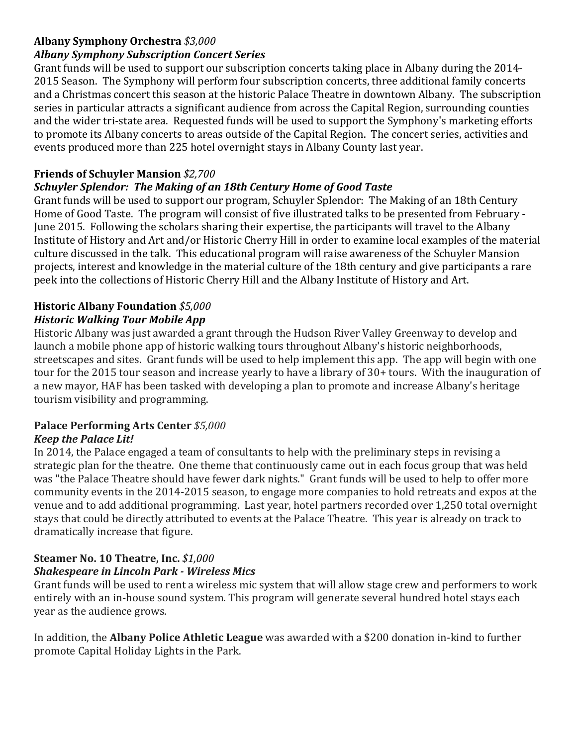# **Albany Symphony Orchestra** *\$3,000*

## *Albany Symphony Subscription Concert Series*

Grant funds will be used to support our subscription concerts taking place in Albany during the 2014- 2015 Season. The Symphony will perform four subscription concerts, three additional family concerts and a Christmas concert this season at the historic Palace Theatre in downtown Albany. The subscription series in particular attracts a significant audience from across the Capital Region, surrounding counties and the wider tri-state area. Requested funds will be used to support the Symphony's marketing efforts to promote its Albany concerts to areas outside of the Capital Region. The concert series, activities and events produced more than 225 hotel overnight stays in Albany County last year.

# **Friends of Schuyler Mansion** *\$2,700*

# *Schuyler Splendor: The Making of an 18th Century Home of Good Taste*

Grant funds will be used to support our program, Schuyler Splendor: The Making of an 18th Century Home of Good Taste. The program will consist of five illustrated talks to be presented from February - June 2015. Following the scholars sharing their expertise, the participants will travel to the Albany Institute of History and Art and/or Historic Cherry Hill in order to examine local examples of the material culture discussed in the talk. This educational program will raise awareness of the Schuyler Mansion projects, interest and knowledge in the material culture of the 18th century and give participants a rare peek into the collections of Historic Cherry Hill and the Albany Institute of History and Art.

#### **Historic Albany Foundation** *\$5,000 Historic Walking Tour Mobile App*

Historic Albany was just awarded a grant through the Hudson River Valley Greenway to develop and launch a mobile phone app of historic walking tours throughout Albany's historic neighborhoods, streetscapes and sites. Grant funds will be used to help implement this app. The app will begin with one tour for the 2015 tour season and increase yearly to have a library of 30+ tours. With the inauguration of a new mayor, HAF has been tasked with developing a plan to promote and increase Albany's heritage tourism visibility and programming.

#### **Palace Performing Arts Center** *\$5,000 Keep the Palace Lit!*

## In 2014, the Palace engaged a team of consultants to help with the preliminary steps in revising a strategic plan for the theatre. One theme that continuously came out in each focus group that was held was "the Palace Theatre should have fewer dark nights." Grant funds will be used to help to offer more community events in the 2014-2015 season, to engage more companies to hold retreats and expos at the venue and to add additional programming. Last year, hotel partners recorded over 1,250 total overnight stays that could be directly attributed to events at the Palace Theatre. This year is already on track to

## **Steamer No. 10 Theatre, Inc.** *\$1,000 Shakespeare in Lincoln Park - Wireless Mics*

dramatically increase that figure.

Grant funds will be used to rent a wireless mic system that will allow stage crew and performers to work entirely with an in-house sound system. This program will generate several hundred hotel stays each year as the audience grows.

In addition, the **Albany Police Athletic League** was awarded with a \$200 donation in-kind to further promote Capital Holiday Lights in the Park.